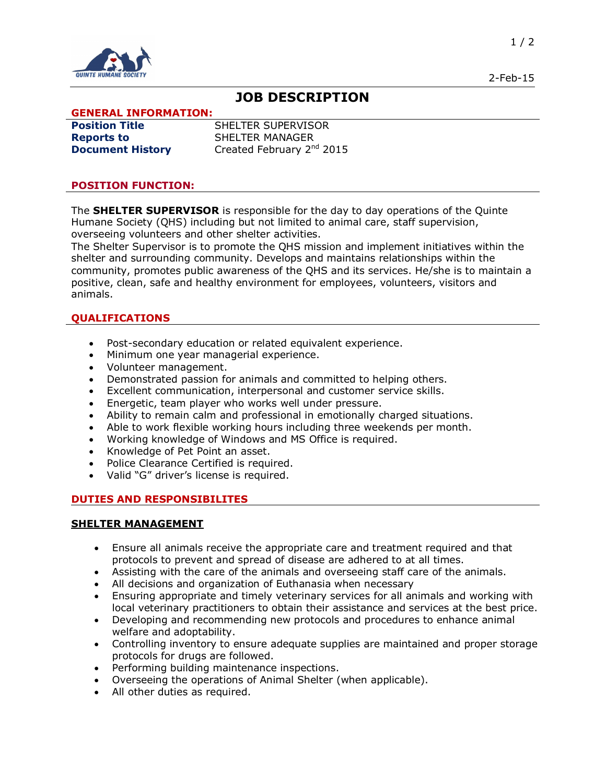

# **JOB DESCRIPTION**

### **GENERAL INFORMATION:**

**Reports to SHELTER MANAGER** 

**Position Title** SHELTER SUPERVISOR **Document History** Created February 2<sup>nd</sup> 2015

#### **POSITION FUNCTION:**

The **SHELTER SUPERVISOR** is responsible for the day to day operations of the Quinte Humane Society (QHS) including but not limited to animal care, staff supervision, overseeing volunteers and other shelter activities.

The Shelter Supervisor is to promote the QHS mission and implement initiatives within the shelter and surrounding community. Develops and maintains relationships within the community, promotes public awareness of the QHS and its services. He/she is to maintain a positive, clean, safe and healthy environment for employees, volunteers, visitors and animals.

### **QUALIFICATIONS**

- · Post-secondary education or related equivalent experience.
- · Minimum one year managerial experience.
- · Volunteer management.
- · Demonstrated passion for animals and committed to helping others.
- · Excellent communication, interpersonal and customer service skills.
- · Energetic, team player who works well under pressure.
- · Ability to remain calm and professional in emotionally charged situations.
- · Able to work flexible working hours including three weekends per month.
- · Working knowledge of Windows and MS Office is required.
- · Knowledge of Pet Point an asset.
- Police Clearance Certified is required.
- · Valid "G" driver's license is required.

#### **DUTIES AND RESPONSIBILITES**

#### **SHELTER MANAGEMENT**

- · Ensure all animals receive the appropriate care and treatment required and that protocols to prevent and spread of disease are adhered to at all times.
- · Assisting with the care of the animals and overseeing staff care of the animals.
- · All decisions and organization of Euthanasia when necessary
- · Ensuring appropriate and timely veterinary services for all animals and working with local veterinary practitioners to obtain their assistance and services at the best price.
- · Developing and recommending new protocols and procedures to enhance animal welfare and adoptability.
- · Controlling inventory to ensure adequate supplies are maintained and proper storage protocols for drugs are followed.
- Performing building maintenance inspections.
- · Overseeing the operations of Animal Shelter (when applicable).
- All other duties as required.

2-Feb-15